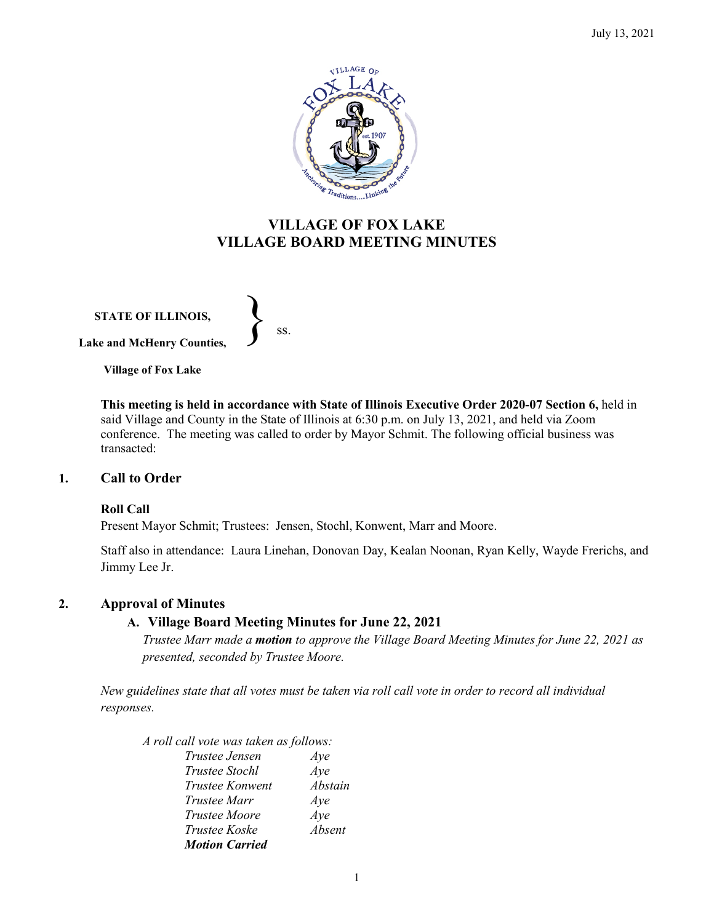

# **VILLAGE OF FOX LAKE VILLAGE BOARD MEETING MINUTES**

**STATE OF ILLINOIS, Lake and McHenry Counties,**   $\left\{\right\}$  ss.

**Village of Fox Lake**

**This meeting is held in accordance with State of Illinois Executive Order 2020-07 Section 6,** held in said Village and County in the State of Illinois at 6:30 p.m. on July 13, 2021, and held via Zoom conference. The meeting was called to order by Mayor Schmit. The following official business was transacted:

# **1. Call to Order**

### **Roll Call**

Present Mayor Schmit; Trustees: Jensen, Stochl, Konwent, Marr and Moore.

Staff also in attendance: Laura Linehan, Donovan Day, Kealan Noonan, Ryan Kelly, Wayde Frerichs, and Jimmy Lee Jr.

# **2. Approval of Minutes**

# **A. Village Board Meeting Minutes for June 22, 2021**

*Trustee Marr made a motion to approve the Village Board Meeting Minutes for June 22, 2021 as presented, seconded by Trustee Moore.* 

*New guidelines state that all votes must be taken via roll call vote in order to record all individual responses.* 

*A roll call vote was taken as follows:* 

| Trustee Jensen         | Aye     |
|------------------------|---------|
| Trustee Stochl         | Aye     |
| <i>Trustee Konwent</i> | Abstain |
| Trustee Marr           | Aye     |
| <i>Trustee Moore</i>   | Aye     |
| Trustee Koske          | Absent  |
| <b>Motion Carried</b>  |         |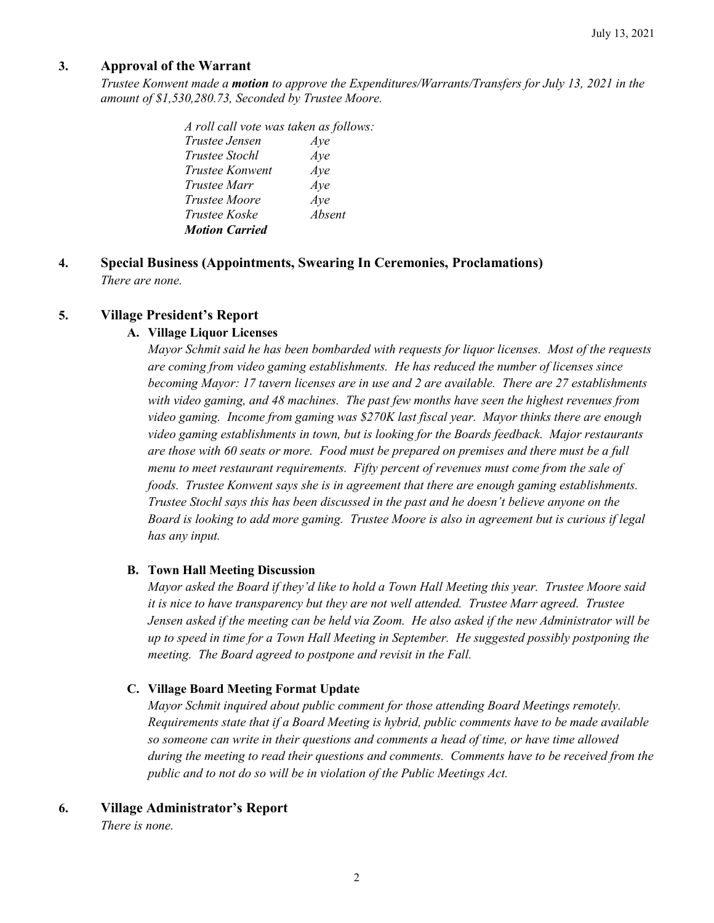# **3. Approval of the Warrant**

*Trustee Konwent made a motion to approve the Expenditures/Warrants/Transfers for July 13, 2021 in the amount of \$1,530,280.73, Seconded by Trustee Moore.*

> *A roll call vote was taken as follows: Trustee Jensen Aye Trustee Stochl Aye Trustee Konwent Aye Trustee Marr Aye Trustee Moore Aye Trustee Koske Absent Motion Carried*

**4. Special Business (Appointments, Swearing In Ceremonies, Proclamations)** *There are none.*

# **5. Village President's Report**

## **A. Village Liquor Licenses**

*Mayor Schmit said he has been bombarded with requests for liquor licenses. Most of the requests are coming from video gaming establishments. He has reduced the number of licenses since becoming Mayor: 17 tavern licenses are in use and 2 are available. There are 27 establishments with video gaming, and 48 machines. The past few months have seen the highest revenues from video gaming. Income from gaming was \$270K last fiscal year. Mayor thinks there are enough video gaming establishments in town, but is looking for the Boards feedback. Major restaurants are those with 60 seats or more. Food must be prepared on premises and there must be a full menu to meet restaurant requirements. Fifty percent of revenues must come from the sale of foods. Trustee Konwent says she is in agreement that there are enough gaming establishments. Trustee Stochl says this has been discussed in the past and he doesn't believe anyone on the Board is looking to add more gaming. Trustee Moore is also in agreement but is curious if legal has any input.* 

### **B. Town Hall Meeting Discussion**

*Mayor asked the Board if they'd like to hold a Town Hall Meeting this year. Trustee Moore said it is nice to have transparency but they are not well attended. Trustee Marr agreed. Trustee Jensen asked if the meeting can be held via Zoom. He also asked if the new Administrator will be up to speed in time for a Town Hall Meeting in September. He suggested possibly postponing the meeting. The Board agreed to postpone and revisit in the Fall.* 

# **C. Village Board Meeting Format Update**

*Mayor Schmit inquired about public comment for those attending Board Meetings remotely. Requirements state that if a Board Meeting is hybrid, public comments have to be made available so someone can write in their questions and comments a head of time, or have time allowed during the meeting to read their questions and comments. Comments have to be received from the public and to not do so will be in violation of the Public Meetings Act.* 

# **6. Village Administrator's Report**

*There is none.*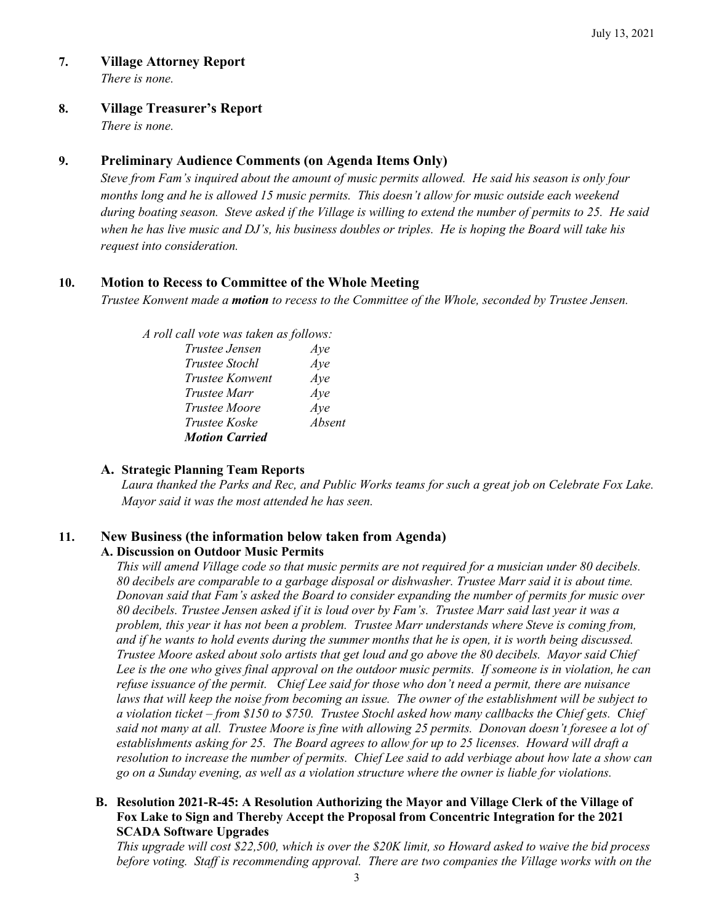# **7. Village Attorney Report**

*There is none.*

#### **8. Village Treasurer's Report**

*There is none.* 

# **9. Preliminary Audience Comments (on Agenda Items Only)**

*Steve from Fam's inquired about the amount of music permits allowed. He said his season is only four months long and he is allowed 15 music permits. This doesn't allow for music outside each weekend during boating season. Steve asked if the Village is willing to extend the number of permits to 25. He said when he has live music and DJ's, his business doubles or triples. He is hoping the Board will take his request into consideration.* 

# **10. Motion to Recess to Committee of the Whole Meeting**

*Trustee Konwent made a motion to recess to the Committee of the Whole, seconded by Trustee Jensen.* 

|  |  |  |  |  |  | A roll call vote was taken as follows: |
|--|--|--|--|--|--|----------------------------------------|
|--|--|--|--|--|--|----------------------------------------|

| Trustee Jensen        | Aye    |
|-----------------------|--------|
| <i>Trustee Stochl</i> | Aye    |
| Trustee Konwent       | Aye    |
| Trustee Marr          | Aye    |
| <i>Trustee Moore</i>  | Aye    |
| Trustee Koske         | Absent |
| <b>Motion Carried</b> |        |

### **A. Strategic Planning Team Reports**

*Laura thanked the Parks and Rec, and Public Works teams for such a great job on Celebrate Fox Lake. Mayor said it was the most attended he has seen.* 

# **11. New Business (the information below taken from Agenda)**

# **A. Discussion on Outdoor Music Permits**

*This will amend Village code so that music permits are not required for a musician under 80 decibels. 80 decibels are comparable to a garbage disposal or dishwasher. Trustee Marr said it is about time. Donovan said that Fam's asked the Board to consider expanding the number of permits for music over 80 decibels. Trustee Jensen asked if it is loud over by Fam's. Trustee Marr said last year it was a problem, this year it has not been a problem. Trustee Marr understands where Steve is coming from, and if he wants to hold events during the summer months that he is open, it is worth being discussed. Trustee Moore asked about solo artists that get loud and go above the 80 decibels. Mayor said Chief Lee is the one who gives final approval on the outdoor music permits. If someone is in violation, he can refuse issuance of the permit. Chief Lee said for those who don't need a permit, there are nuisance laws that will keep the noise from becoming an issue. The owner of the establishment will be subject to a violation ticket – from \$150 to \$750. Trustee Stochl asked how many callbacks the Chief gets. Chief said not many at all. Trustee Moore is fine with allowing 25 permits. Donovan doesn't foresee a lot of establishments asking for 25. The Board agrees to allow for up to 25 licenses. Howard will draft a resolution to increase the number of permits. Chief Lee said to add verbiage about how late a show can go on a Sunday evening, as well as a violation structure where the owner is liable for violations.* 

### **B. Resolution 2021-R-45: A Resolution Authorizing the Mayor and Village Clerk of the Village of Fox Lake to Sign and Thereby Accept the Proposal from Concentric Integration for the 2021 SCADA Software Upgrades**

*This upgrade will cost \$22,500, which is over the \$20K limit, so Howard asked to waive the bid process before voting. Staff is recommending approval. There are two companies the Village works with on the*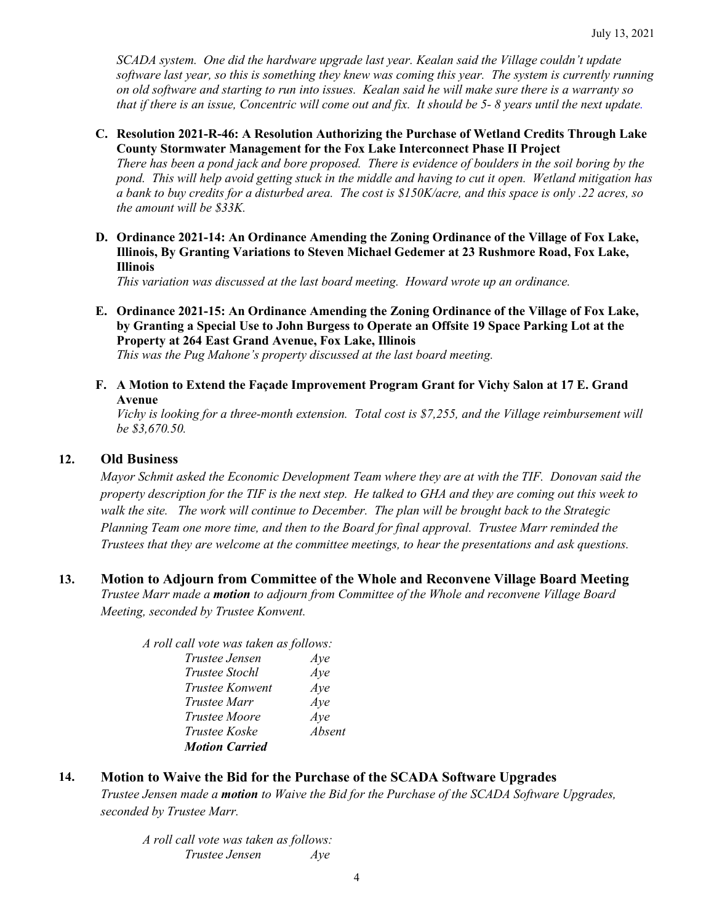*SCADA system. One did the hardware upgrade last year. Kealan said the Village couldn't update software last year, so this is something they knew was coming this year. The system is currently running on old software and starting to run into issues. Kealan said he will make sure there is a warranty so that if there is an issue, Concentric will come out and fix. It should be 5- 8 years until the next update.* 

#### **C. Resolution 2021-R-46: A Resolution Authorizing the Purchase of Wetland Credits Through Lake County Stormwater Management for the Fox Lake Interconnect Phase II Project**

*There has been a pond jack and bore proposed. There is evidence of boulders in the soil boring by the pond. This will help avoid getting stuck in the middle and having to cut it open. Wetland mitigation has a bank to buy credits for a disturbed area. The cost is \$150K/acre, and this space is only .22 acres, so the amount will be \$33K.* 

**D. Ordinance 2021-14: An Ordinance Amending the Zoning Ordinance of the Village of Fox Lake, Illinois, By Granting Variations to Steven Michael Gedemer at 23 Rushmore Road, Fox Lake, Illinois**

*This variation was discussed at the last board meeting. Howard wrote up an ordinance.*

- **E. Ordinance 2021-15: An Ordinance Amending the Zoning Ordinance of the Village of Fox Lake, by Granting a Special Use to John Burgess to Operate an Offsite 19 Space Parking Lot at the Property at 264 East Grand Avenue, Fox Lake, Illinois** *This was the Pug Mahone's property discussed at the last board meeting.*
- **F. A Motion to Extend the Façade Improvement Program Grant for Vichy Salon at 17 E. Grand Avenue**

*Vichy is looking for a three-month extension. Total cost is \$7,255, and the Village reimbursement will be \$3,670.50.* 

#### **12. Old Business**

*Mayor Schmit asked the Economic Development Team where they are at with the TIF. Donovan said the property description for the TIF is the next step. He talked to GHA and they are coming out this week to walk the site. The work will continue to December. The plan will be brought back to the Strategic Planning Team one more time, and then to the Board for final approval. Trustee Marr reminded the Trustees that they are welcome at the committee meetings, to hear the presentations and ask questions.* 

## **13. Motion to Adjourn from Committee of the Whole and Reconvene Village Board Meeting** *Trustee Marr made a motion to adjourn from Committee of the Whole and reconvene Village Board Meeting, seconded by Trustee Konwent.*

| A roll call vote was taken as follows: |
|----------------------------------------|
| Aye                                    |
| Aye                                    |
| Aye                                    |
| Ave                                    |
| Aye                                    |
| Absent                                 |
|                                        |
|                                        |

# **14. Motion to Waive the Bid for the Purchase of the SCADA Software Upgrades**

*Trustee Jensen made a motion to Waive the Bid for the Purchase of the SCADA Software Upgrades, seconded by Trustee Marr.* 

*A roll call vote was taken as follows: Trustee Jensen Aye*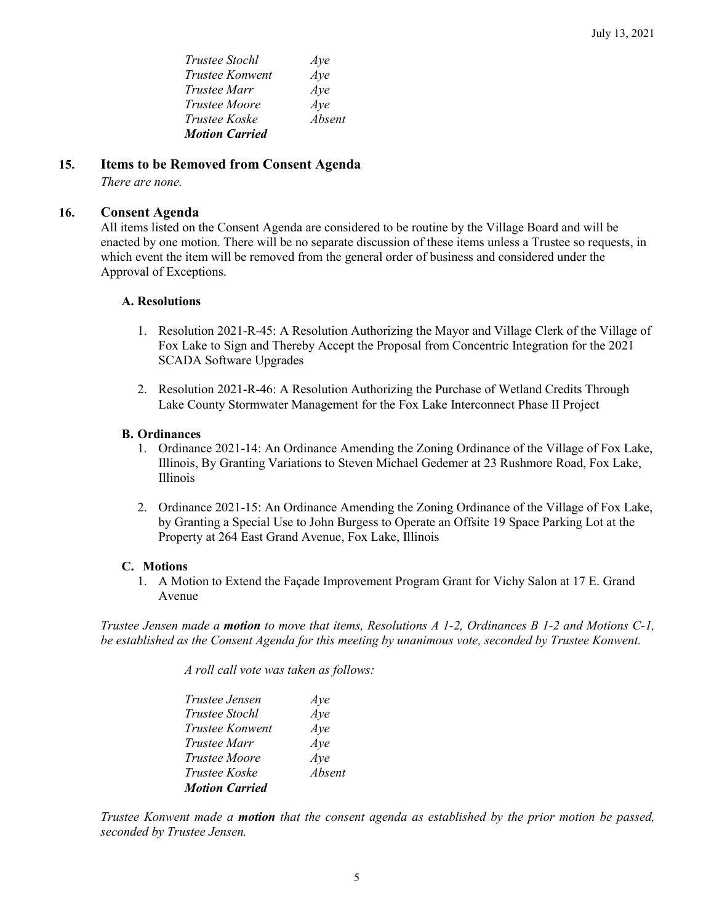| <i>Trustee Stochl</i> | Aye    |
|-----------------------|--------|
| Trustee Konwent       | Aye    |
| Trustee Marr          | Aye    |
| <i>Trustee Moore</i>  | Aye    |
| <i>Trustee Koske</i>  | Absent |
| <b>Motion Carried</b> |        |

# **15. Items to be Removed from Consent Agenda**

*There are none.*

### **16. Consent Agenda**

All items listed on the Consent Agenda are considered to be routine by the Village Board and will be enacted by one motion. There will be no separate discussion of these items unless a Trustee so requests, in which event the item will be removed from the general order of business and considered under the Approval of Exceptions.

#### **A. Resolutions**

- 1. Resolution 2021-R-45: A Resolution Authorizing the Mayor and Village Clerk of the Village of Fox Lake to Sign and Thereby Accept the Proposal from Concentric Integration for the 2021 SCADA Software Upgrades
- 2. Resolution 2021-R-46: A Resolution Authorizing the Purchase of Wetland Credits Through Lake County Stormwater Management for the Fox Lake Interconnect Phase II Project

#### **B. Ordinances**

- 1. Ordinance 2021-14: An Ordinance Amending the Zoning Ordinance of the Village of Fox Lake, Illinois, By Granting Variations to Steven Michael Gedemer at 23 Rushmore Road, Fox Lake, Illinois
- 2. Ordinance 2021-15: An Ordinance Amending the Zoning Ordinance of the Village of Fox Lake, by Granting a Special Use to John Burgess to Operate an Offsite 19 Space Parking Lot at the Property at 264 East Grand Avenue, Fox Lake, Illinois

#### **C. Motions**

1. A Motion to Extend the Façade Improvement Program Grant for Vichy Salon at 17 E. Grand Avenue

*Trustee Jensen made a motion to move that items, Resolutions A 1-2, Ordinances B 1-2 and Motions C-1, be established as the Consent Agenda for this meeting by unanimous vote, seconded by Trustee Konwent.*

*A roll call vote was taken as follows:* 

| Trustee Jensen         | Aye    |
|------------------------|--------|
| Trustee Stochl         | Aye    |
| <b>Trustee Konwent</b> | Aye    |
| <i>Trustee Marr</i>    | Aye    |
| <i>Trustee Moore</i>   | Aye    |
| Trustee Koske          | Absent |
| <b>Motion Carried</b>  |        |

*Trustee Konwent made a motion that the consent agenda as established by the prior motion be passed, seconded by Trustee Jensen.*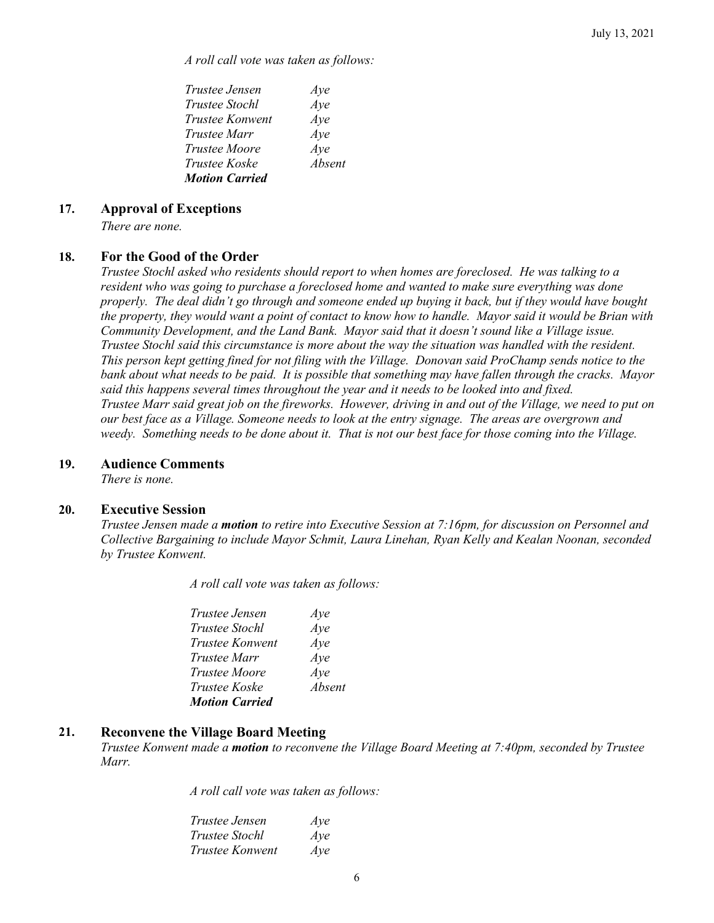*A roll call vote was taken as follows:* 

| Trustee Jensen        | Aye    |
|-----------------------|--------|
| <i>Trustee Stochl</i> | Aye    |
| Trustee Konwent       | Aye    |
| Trustee Marr          | Aye    |
| <i>Trustee Moore</i>  | Aye    |
| Trustee Koske         | Absent |
| <b>Motion Carried</b> |        |

#### **17. Approval of Exceptions**

*There are none.* 

### **18. For the Good of the Order**

*Trustee Stochl asked who residents should report to when homes are foreclosed. He was talking to a resident who was going to purchase a foreclosed home and wanted to make sure everything was done properly. The deal didn't go through and someone ended up buying it back, but if they would have bought the property, they would want a point of contact to know how to handle. Mayor said it would be Brian with Community Development, and the Land Bank. Mayor said that it doesn't sound like a Village issue. Trustee Stochl said this circumstance is more about the way the situation was handled with the resident. This person kept getting fined for not filing with the Village. Donovan said ProChamp sends notice to the bank about what needs to be paid. It is possible that something may have fallen through the cracks. Mayor said this happens several times throughout the year and it needs to be looked into and fixed. Trustee Marr said great job on the fireworks. However, driving in and out of the Village, we need to put on our best face as a Village. Someone needs to look at the entry signage. The areas are overgrown and weedy. Something needs to be done about it. That is not our best face for those coming into the Village.* 

#### **19. Audience Comments**

*There is none.*

#### **20. Executive Session**

*Trustee Jensen made a motion to retire into Executive Session at 7:16pm, for discussion on Personnel and Collective Bargaining to include Mayor Schmit, Laura Linehan, Ryan Kelly and Kealan Noonan, seconded by Trustee Konwent.*

*A roll call vote was taken as follows:* 

| <i>Trustee Jensen</i>  | Aye    |
|------------------------|--------|
| Trustee Stochl         | Aye    |
| <i>Trustee Konwent</i> | Aye    |
| Trustee Marr           | Aye    |
| <i>Trustee Moore</i>   | Aye    |
| Trustee Koske          | Absent |
| <b>Motion Carried</b>  |        |

#### **21. Reconvene the Village Board Meeting**

*Trustee Konwent made a motion to reconvene the Village Board Meeting at 7:40pm, seconded by Trustee Marr.*

*A roll call vote was taken as follows:* 

| Trustee Jensen         | Aye |
|------------------------|-----|
| <i>Trustee Stochl</i>  | Aye |
| <i>Trustee Konwent</i> | Aye |